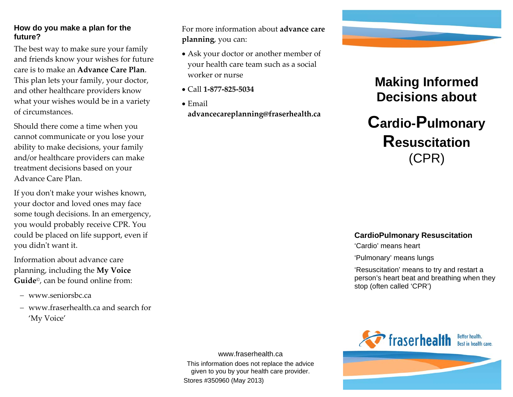#### **How do you make a plan for the future?**

The best way to make sure your family and friends know your wishes for future care is to make an **Advance Care Plan**. This plan lets your family, your doctor, and other healthcare providers know what your wishes would be in <sup>a</sup> variety of circumstances.

Should there come <sup>a</sup> time when you cannot communicate or you lose your ability to make decisions, your family and/or healthcare providers can make treatment decisions based on your Advance Care Plan.

If you don't make your wishes known, your doctor and loved ones may face some tough decisions. In an emergency, you would probably receive CPR. You could be placed on life support, even if you didn<sup>ʹ</sup><sup>t</sup> want it.

Information about advance care planning, including the **My Voice Guide**©, can be found online from:

- www.seniorsbc.ca
- www.fraserhealth.ca and search for 'My Voice'

For more information about **advance care planning**, you can:

- Ask your doctor or another member of your health care team such as <sup>a</sup> social worker or nurse
- Call **1‐877‐825‐5034**
- Email **advancecareplanning@fraserhealth.ca**



# **Making Informed Decisions about**

**Cardio-Pulmonary Resuscitation** (CPR)

#### **CardioPulmonary Resuscitation**

'Cardio' means heart

'Pulmonary' means lungs

'Resuscitation' means to try and restart a person's heart beat and breathing when they stop (often called 'CPR')



www.fraserhealth.ca This information does not replace the advice given to you by your health care provider. Stores #350960 (May 2013)